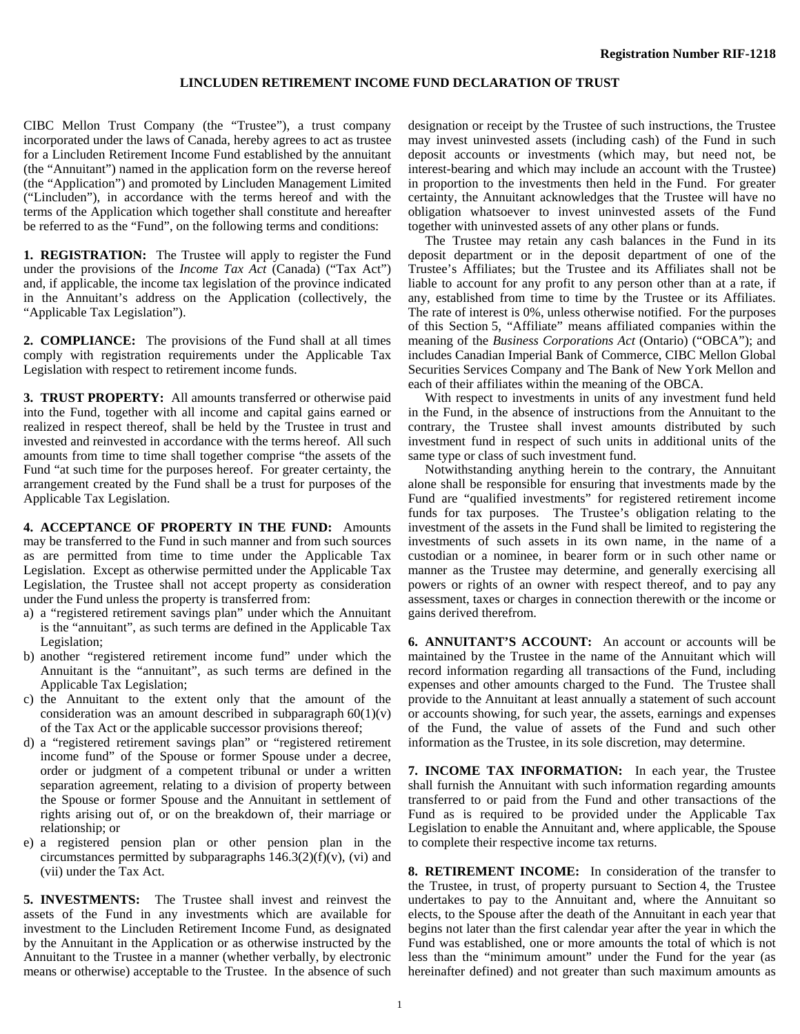## **LINCLUDEN RETIREMENT INCOME FUND DECLARATION OF TRUST**

CIBC Mellon Trust Company (the "Trustee"), a trust company incorporated under the laws of Canada, hereby agrees to act as trustee for a Lincluden Retirement Income Fund established by the annuitant (the "Annuitant") named in the application form on the reverse hereof (the "Application") and promoted by Lincluden Management Limited ("Lincluden"), in accordance with the terms hereof and with the terms of the Application which together shall constitute and hereafter be referred to as the "Fund", on the following terms and conditions:

**1. REGISTRATION:** The Trustee will apply to register the Fund under the provisions of the *Income Tax Act* (Canada) ("Tax Act") and, if applicable, the income tax legislation of the province indicated in the Annuitant's address on the Application (collectively, the "Applicable Tax Legislation").

**2. COMPLIANCE:** The provisions of the Fund shall at all times comply with registration requirements under the Applicable Tax Legislation with respect to retirement income funds.

**3. TRUST PROPERTY:** All amounts transferred or otherwise paid into the Fund, together with all income and capital gains earned or realized in respect thereof, shall be held by the Trustee in trust and invested and reinvested in accordance with the terms hereof. All such amounts from time to time shall together comprise "the assets of the Fund "at such time for the purposes hereof. For greater certainty, the arrangement created by the Fund shall be a trust for purposes of the Applicable Tax Legislation.

**4. ACCEPTANCE OF PROPERTY IN THE FUND:** Amounts may be transferred to the Fund in such manner and from such sources as are permitted from time to time under the Applicable Tax Legislation. Except as otherwise permitted under the Applicable Tax Legislation, the Trustee shall not accept property as consideration under the Fund unless the property is transferred from:

- a) a "registered retirement savings plan" under which the Annuitant is the "annuitant", as such terms are defined in the Applicable Tax Legislation;
- b) another "registered retirement income fund" under which the Annuitant is the "annuitant", as such terms are defined in the Applicable Tax Legislation;
- c) the Annuitant to the extent only that the amount of the consideration was an amount described in subparagraph  $60(1)(v)$ of the Tax Act or the applicable successor provisions thereof;
- d) a "registered retirement savings plan" or "registered retirement income fund" of the Spouse or former Spouse under a decree, order or judgment of a competent tribunal or under a written separation agreement, relating to a division of property between the Spouse or former Spouse and the Annuitant in settlement of rights arising out of, or on the breakdown of, their marriage or relationship; or
- e) a registered pension plan or other pension plan in the circumstances permitted by subparagraphs  $146.3(2)(f)(v)$ , (vi) and (vii) under the Tax Act.

**5. INVESTMENTS:** The Trustee shall invest and reinvest the assets of the Fund in any investments which are available for investment to the Lincluden Retirement Income Fund, as designated by the Annuitant in the Application or as otherwise instructed by the Annuitant to the Trustee in a manner (whether verbally, by electronic means or otherwise) acceptable to the Trustee. In the absence of such

designation or receipt by the Trustee of such instructions, the Trustee may invest uninvested assets (including cash) of the Fund in such deposit accounts or investments (which may, but need not, be interest-bearing and which may include an account with the Trustee) in proportion to the investments then held in the Fund. For greater certainty, the Annuitant acknowledges that the Trustee will have no obligation whatsoever to invest uninvested assets of the Fund together with uninvested assets of any other plans or funds.

 The Trustee may retain any cash balances in the Fund in its deposit department or in the deposit department of one of the Trustee's Affiliates; but the Trustee and its Affiliates shall not be liable to account for any profit to any person other than at a rate, if any, established from time to time by the Trustee or its Affiliates. The rate of interest is 0%, unless otherwise notified. For the purposes of this Section 5, "Affiliate" means affiliated companies within the meaning of the *Business Corporations Act* (Ontario) ("OBCA"); and includes Canadian Imperial Bank of Commerce, CIBC Mellon Global Securities Services Company and The Bank of New York Mellon and each of their affiliates within the meaning of the OBCA.

 With respect to investments in units of any investment fund held in the Fund, in the absence of instructions from the Annuitant to the contrary, the Trustee shall invest amounts distributed by such investment fund in respect of such units in additional units of the same type or class of such investment fund.

 Notwithstanding anything herein to the contrary, the Annuitant alone shall be responsible for ensuring that investments made by the Fund are "qualified investments" for registered retirement income funds for tax purposes. The Trustee's obligation relating to the investment of the assets in the Fund shall be limited to registering the investments of such assets in its own name, in the name of a custodian or a nominee, in bearer form or in such other name or manner as the Trustee may determine, and generally exercising all powers or rights of an owner with respect thereof, and to pay any assessment, taxes or charges in connection therewith or the income or gains derived therefrom.

**6. ANNUITANT'S ACCOUNT:** An account or accounts will be maintained by the Trustee in the name of the Annuitant which will record information regarding all transactions of the Fund, including expenses and other amounts charged to the Fund. The Trustee shall provide to the Annuitant at least annually a statement of such account or accounts showing, for such year, the assets, earnings and expenses of the Fund, the value of assets of the Fund and such other information as the Trustee, in its sole discretion, may determine.

**7. INCOME TAX INFORMATION:** In each year, the Trustee shall furnish the Annuitant with such information regarding amounts transferred to or paid from the Fund and other transactions of the Fund as is required to be provided under the Applicable Tax Legislation to enable the Annuitant and, where applicable, the Spouse to complete their respective income tax returns.

**8. RETIREMENT INCOME:** In consideration of the transfer to the Trustee, in trust, of property pursuant to Section 4, the Trustee undertakes to pay to the Annuitant and, where the Annuitant so elects, to the Spouse after the death of the Annuitant in each year that begins not later than the first calendar year after the year in which the Fund was established, one or more amounts the total of which is not less than the "minimum amount" under the Fund for the year (as hereinafter defined) and not greater than such maximum amounts as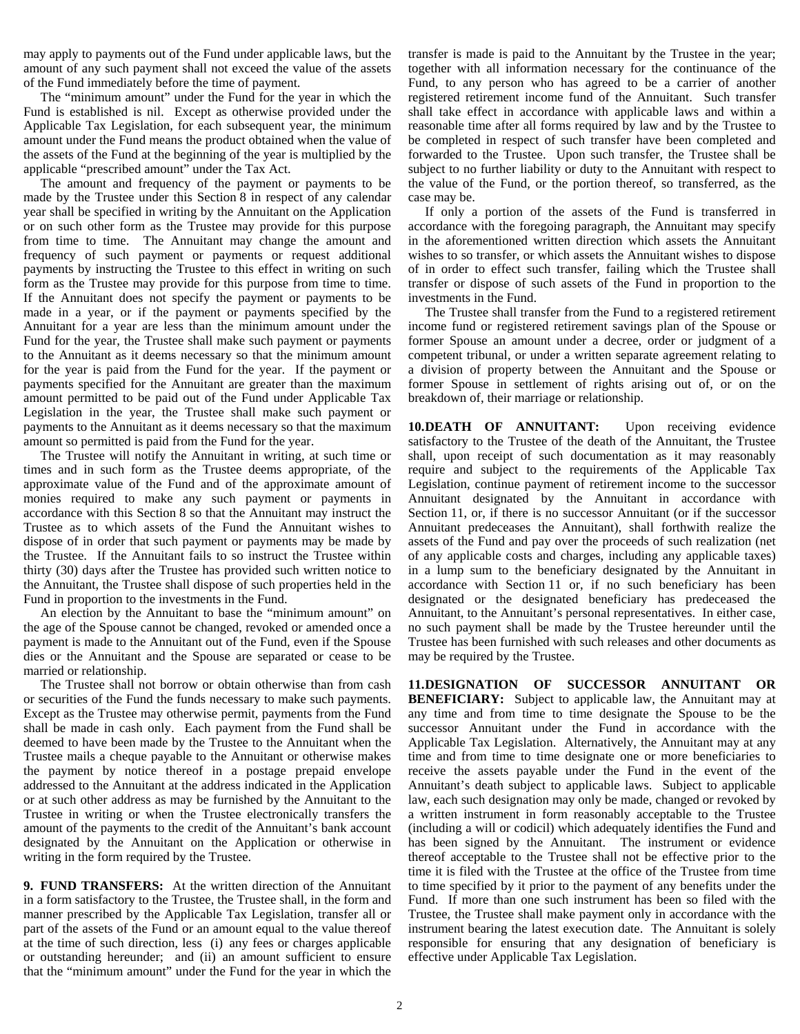may apply to payments out of the Fund under applicable laws, but the amount of any such payment shall not exceed the value of the assets of the Fund immediately before the time of payment.

 The "minimum amount" under the Fund for the year in which the Fund is established is nil. Except as otherwise provided under the Applicable Tax Legislation, for each subsequent year, the minimum amount under the Fund means the product obtained when the value of the assets of the Fund at the beginning of the year is multiplied by the applicable "prescribed amount" under the Tax Act.

 The amount and frequency of the payment or payments to be made by the Trustee under this Section 8 in respect of any calendar year shall be specified in writing by the Annuitant on the Application or on such other form as the Trustee may provide for this purpose from time to time. The Annuitant may change the amount and frequency of such payment or payments or request additional payments by instructing the Trustee to this effect in writing on such form as the Trustee may provide for this purpose from time to time. If the Annuitant does not specify the payment or payments to be made in a year, or if the payment or payments specified by the Annuitant for a year are less than the minimum amount under the Fund for the year, the Trustee shall make such payment or payments to the Annuitant as it deems necessary so that the minimum amount for the year is paid from the Fund for the year. If the payment or payments specified for the Annuitant are greater than the maximum amount permitted to be paid out of the Fund under Applicable Tax Legislation in the year, the Trustee shall make such payment or payments to the Annuitant as it deems necessary so that the maximum amount so permitted is paid from the Fund for the year.

 The Trustee will notify the Annuitant in writing, at such time or times and in such form as the Trustee deems appropriate, of the approximate value of the Fund and of the approximate amount of monies required to make any such payment or payments in accordance with this Section 8 so that the Annuitant may instruct the Trustee as to which assets of the Fund the Annuitant wishes to dispose of in order that such payment or payments may be made by the Trustee. If the Annuitant fails to so instruct the Trustee within thirty (30) days after the Trustee has provided such written notice to the Annuitant, the Trustee shall dispose of such properties held in the Fund in proportion to the investments in the Fund.

 An election by the Annuitant to base the "minimum amount" on the age of the Spouse cannot be changed, revoked or amended once a payment is made to the Annuitant out of the Fund, even if the Spouse dies or the Annuitant and the Spouse are separated or cease to be married or relationship.

 The Trustee shall not borrow or obtain otherwise than from cash or securities of the Fund the funds necessary to make such payments. Except as the Trustee may otherwise permit, payments from the Fund shall be made in cash only. Each payment from the Fund shall be deemed to have been made by the Trustee to the Annuitant when the Trustee mails a cheque payable to the Annuitant or otherwise makes the payment by notice thereof in a postage prepaid envelope addressed to the Annuitant at the address indicated in the Application or at such other address as may be furnished by the Annuitant to the Trustee in writing or when the Trustee electronically transfers the amount of the payments to the credit of the Annuitant's bank account designated by the Annuitant on the Application or otherwise in writing in the form required by the Trustee.

**9. FUND TRANSFERS:** At the written direction of the Annuitant in a form satisfactory to the Trustee, the Trustee shall, in the form and manner prescribed by the Applicable Tax Legislation, transfer all or part of the assets of the Fund or an amount equal to the value thereof at the time of such direction, less (i) any fees or charges applicable or outstanding hereunder; and (ii) an amount sufficient to ensure that the "minimum amount" under the Fund for the year in which the

transfer is made is paid to the Annuitant by the Trustee in the year; together with all information necessary for the continuance of the Fund, to any person who has agreed to be a carrier of another registered retirement income fund of the Annuitant. Such transfer shall take effect in accordance with applicable laws and within a reasonable time after all forms required by law and by the Trustee to be completed in respect of such transfer have been completed and forwarded to the Trustee. Upon such transfer, the Trustee shall be subject to no further liability or duty to the Annuitant with respect to the value of the Fund, or the portion thereof, so transferred, as the case may be.

 If only a portion of the assets of the Fund is transferred in accordance with the foregoing paragraph, the Annuitant may specify in the aforementioned written direction which assets the Annuitant wishes to so transfer, or which assets the Annuitant wishes to dispose of in order to effect such transfer, failing which the Trustee shall transfer or dispose of such assets of the Fund in proportion to the investments in the Fund.

 The Trustee shall transfer from the Fund to a registered retirement income fund or registered retirement savings plan of the Spouse or former Spouse an amount under a decree, order or judgment of a competent tribunal, or under a written separate agreement relating to a division of property between the Annuitant and the Spouse or former Spouse in settlement of rights arising out of, or on the breakdown of, their marriage or relationship.

**10. DEATH OF ANNUITANT:** Upon receiving evidence satisfactory to the Trustee of the death of the Annuitant, the Trustee shall, upon receipt of such documentation as it may reasonably require and subject to the requirements of the Applicable Tax Legislation, continue payment of retirement income to the successor Annuitant designated by the Annuitant in accordance with Section 11, or, if there is no successor Annuitant (or if the successor Annuitant predeceases the Annuitant), shall forthwith realize the assets of the Fund and pay over the proceeds of such realization (net of any applicable costs and charges, including any applicable taxes) in a lump sum to the beneficiary designated by the Annuitant in accordance with Section 11 or, if no such beneficiary has been designated or the designated beneficiary has predeceased the Annuitant, to the Annuitant's personal representatives. In either case, no such payment shall be made by the Trustee hereunder until the Trustee has been furnished with such releases and other documents as may be required by the Trustee.

**11. DESIGNATION OF SUCCESSOR ANNUITANT OR BENEFICIARY:** Subject to applicable law, the Annuitant may at any time and from time to time designate the Spouse to be the successor Annuitant under the Fund in accordance with the Applicable Tax Legislation. Alternatively, the Annuitant may at any time and from time to time designate one or more beneficiaries to receive the assets payable under the Fund in the event of the Annuitant's death subject to applicable laws. Subject to applicable law, each such designation may only be made, changed or revoked by a written instrument in form reasonably acceptable to the Trustee (including a will or codicil) which adequately identifies the Fund and has been signed by the Annuitant. The instrument or evidence thereof acceptable to the Trustee shall not be effective prior to the time it is filed with the Trustee at the office of the Trustee from time to time specified by it prior to the payment of any benefits under the Fund. If more than one such instrument has been so filed with the Trustee, the Trustee shall make payment only in accordance with the instrument bearing the latest execution date. The Annuitant is solely responsible for ensuring that any designation of beneficiary is effective under Applicable Tax Legislation.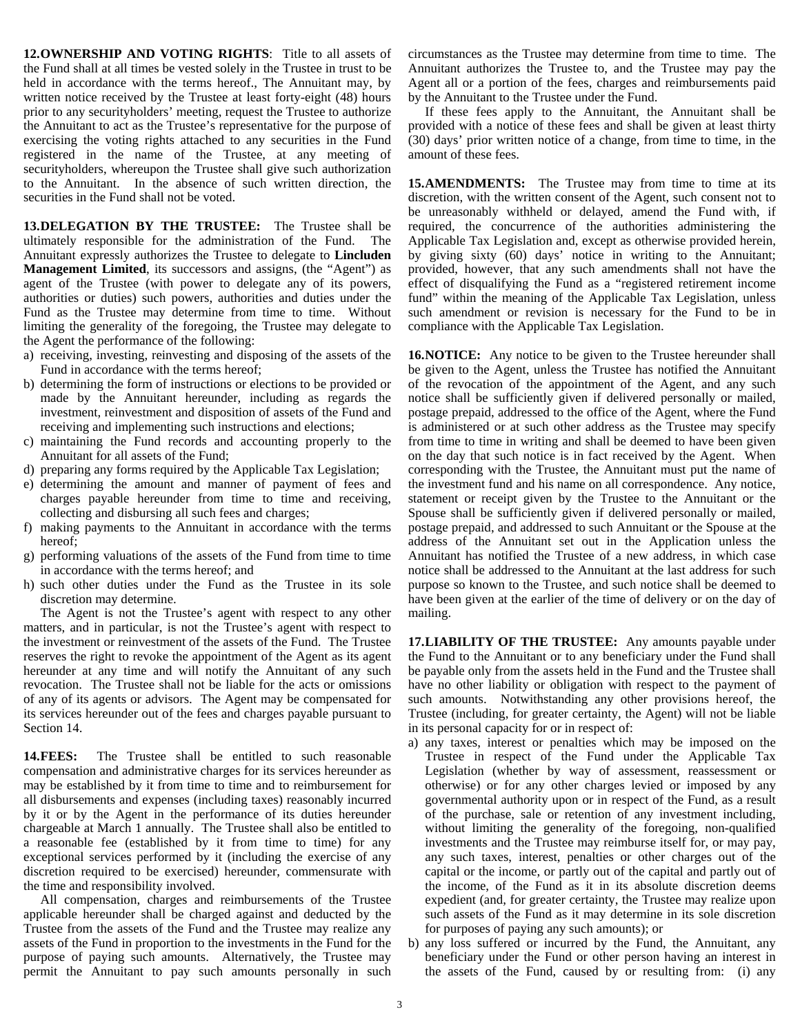**12. OWNERSHIP AND VOTING RIGHTS**: Title to all assets of the Fund shall at all times be vested solely in the Trustee in trust to be held in accordance with the terms hereof., The Annuitant may, by written notice received by the Trustee at least forty-eight (48) hours prior to any securityholders' meeting, request the Trustee to authorize the Annuitant to act as the Trustee's representative for the purpose of exercising the voting rights attached to any securities in the Fund registered in the name of the Trustee, at any meeting of securityholders, whereupon the Trustee shall give such authorization to the Annuitant. In the absence of such written direction, the securities in the Fund shall not be voted.

**13. DELEGATION BY THE TRUSTEE:** The Trustee shall be ultimately responsible for the administration of the Fund. The Annuitant expressly authorizes the Trustee to delegate to **Lincluden Management Limited**, its successors and assigns, (the "Agent") as agent of the Trustee (with power to delegate any of its powers, authorities or duties) such powers, authorities and duties under the Fund as the Trustee may determine from time to time. Without limiting the generality of the foregoing, the Trustee may delegate to the Agent the performance of the following:

- a) receiving, investing, reinvesting and disposing of the assets of the Fund in accordance with the terms hereof;
- b) determining the form of instructions or elections to be provided or made by the Annuitant hereunder, including as regards the investment, reinvestment and disposition of assets of the Fund and receiving and implementing such instructions and elections;
- c) maintaining the Fund records and accounting properly to the Annuitant for all assets of the Fund;
- d) preparing any forms required by the Applicable Tax Legislation;
- e) determining the amount and manner of payment of fees and charges payable hereunder from time to time and receiving, collecting and disbursing all such fees and charges;
- f) making payments to the Annuitant in accordance with the terms hereof;
- g) performing valuations of the assets of the Fund from time to time in accordance with the terms hereof; and
- h) such other duties under the Fund as the Trustee in its sole discretion may determine.

 The Agent is not the Trustee's agent with respect to any other matters, and in particular, is not the Trustee's agent with respect to the investment or reinvestment of the assets of the Fund. The Trustee reserves the right to revoke the appointment of the Agent as its agent hereunder at any time and will notify the Annuitant of any such revocation. The Trustee shall not be liable for the acts or omissions of any of its agents or advisors. The Agent may be compensated for its services hereunder out of the fees and charges payable pursuant to Section 14.

**14. FEES:** The Trustee shall be entitled to such reasonable compensation and administrative charges for its services hereunder as may be established by it from time to time and to reimbursement for all disbursements and expenses (including taxes) reasonably incurred by it or by the Agent in the performance of its duties hereunder chargeable at March 1 annually. The Trustee shall also be entitled to a reasonable fee (established by it from time to time) for any exceptional services performed by it (including the exercise of any discretion required to be exercised) hereunder, commensurate with the time and responsibility involved.

 All compensation, charges and reimbursements of the Trustee applicable hereunder shall be charged against and deducted by the Trustee from the assets of the Fund and the Trustee may realize any assets of the Fund in proportion to the investments in the Fund for the purpose of paying such amounts. Alternatively, the Trustee may permit the Annuitant to pay such amounts personally in such

circumstances as the Trustee may determine from time to time. The Annuitant authorizes the Trustee to, and the Trustee may pay the Agent all or a portion of the fees, charges and reimbursements paid by the Annuitant to the Trustee under the Fund.

 If these fees apply to the Annuitant, the Annuitant shall be provided with a notice of these fees and shall be given at least thirty (30) days' prior written notice of a change, from time to time, in the amount of these fees.

**15. AMENDMENTS:** The Trustee may from time to time at its discretion, with the written consent of the Agent, such consent not to be unreasonably withheld or delayed, amend the Fund with, if required, the concurrence of the authorities administering the Applicable Tax Legislation and, except as otherwise provided herein, by giving sixty (60) days' notice in writing to the Annuitant; provided, however, that any such amendments shall not have the effect of disqualifying the Fund as a "registered retirement income fund" within the meaning of the Applicable Tax Legislation, unless such amendment or revision is necessary for the Fund to be in compliance with the Applicable Tax Legislation.

**16. NOTICE:** Any notice to be given to the Trustee hereunder shall be given to the Agent, unless the Trustee has notified the Annuitant of the revocation of the appointment of the Agent, and any such notice shall be sufficiently given if delivered personally or mailed, postage prepaid, addressed to the office of the Agent, where the Fund is administered or at such other address as the Trustee may specify from time to time in writing and shall be deemed to have been given on the day that such notice is in fact received by the Agent. When corresponding with the Trustee, the Annuitant must put the name of the investment fund and his name on all correspondence. Any notice, statement or receipt given by the Trustee to the Annuitant or the Spouse shall be sufficiently given if delivered personally or mailed, postage prepaid, and addressed to such Annuitant or the Spouse at the address of the Annuitant set out in the Application unless the Annuitant has notified the Trustee of a new address, in which case notice shall be addressed to the Annuitant at the last address for such purpose so known to the Trustee, and such notice shall be deemed to have been given at the earlier of the time of delivery or on the day of mailing.

**17. LIABILITY OF THE TRUSTEE:** Any amounts payable under the Fund to the Annuitant or to any beneficiary under the Fund shall be payable only from the assets held in the Fund and the Trustee shall have no other liability or obligation with respect to the payment of such amounts. Notwithstanding any other provisions hereof, the Trustee (including, for greater certainty, the Agent) will not be liable in its personal capacity for or in respect of:

- a) any taxes, interest or penalties which may be imposed on the Trustee in respect of the Fund under the Applicable Tax Legislation (whether by way of assessment, reassessment or otherwise) or for any other charges levied or imposed by any governmental authority upon or in respect of the Fund, as a result of the purchase, sale or retention of any investment including, without limiting the generality of the foregoing, non-qualified investments and the Trustee may reimburse itself for, or may pay, any such taxes, interest, penalties or other charges out of the capital or the income, or partly out of the capital and partly out of the income, of the Fund as it in its absolute discretion deems expedient (and, for greater certainty, the Trustee may realize upon such assets of the Fund as it may determine in its sole discretion for purposes of paying any such amounts); or
- b) any loss suffered or incurred by the Fund, the Annuitant, any beneficiary under the Fund or other person having an interest in the assets of the Fund, caused by or resulting from: (i) any